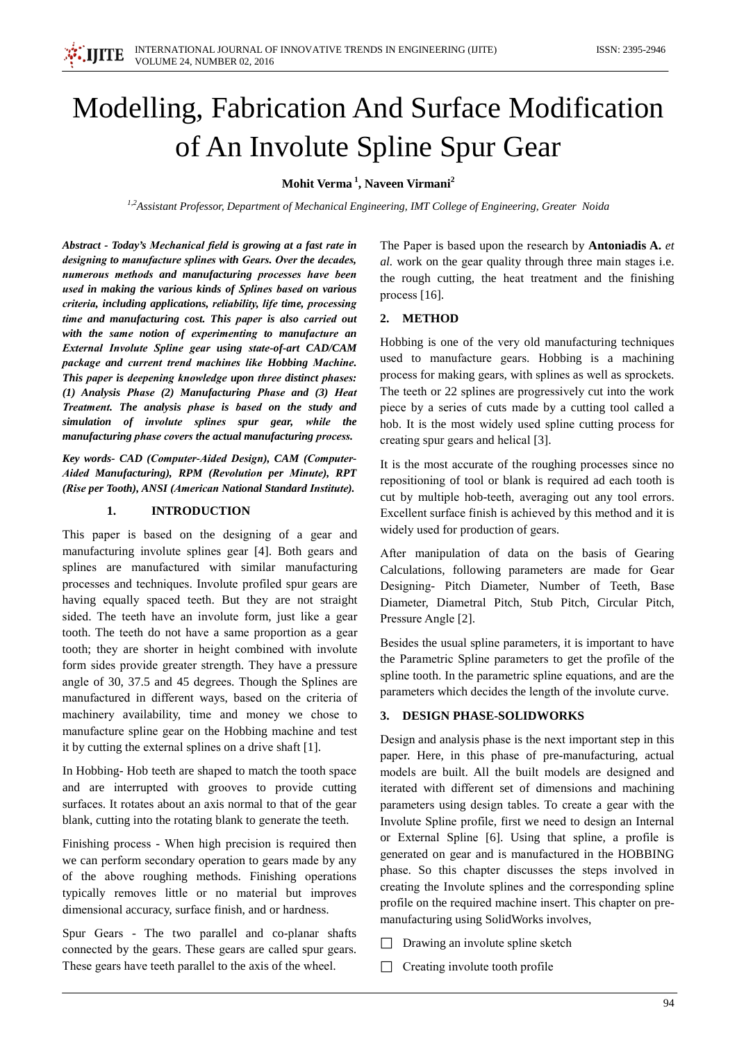# Modelling, Fabrication And Surface Modification of An Involute Spline Spur Gear

Mohit Verma<sup>1</sup>, Naveen Virmani<sup>2</sup>

<sup>1,2</sup>Assistant Professor, Department of Mechanical Engineering, IMT College of Engineering, Greater Noida

Abstract - Today's Mechanical field is growing at a fast rate in designing to manufacture splines with Gears. Over the decades, numerous methods and manufacturing processes have been used in making the various kinds of Splines based on various criteria, including applications, reliability, life time, processing time and manufacturing cost. This paper is also carried out with the same notion of experimenting to manufacture an External Involute Spline gear using state-of-art CAD/CAM package and current trend machines like Hobbing Machine. This paper is deepening knowledge upon three distinct phases:  $(1)$  Analysis Phase  $(2)$  Manufacturing Phase and  $(3)$  Heat Treatment. The analysis phase is based on the study and simulation of involute splines spur gear, while the manufacturing phase covers the actual manufacturing process.

Key words- CAD (Computer-Aided Design), CAM (Computer-Aided Manufacturing), RPM (Revolution per Minute), RPT (Rise per Tooth), ANSI (American National Standard Institute).

#### $\mathbf{1}$ **INTRODUCTION**

This paper is based on the designing of a gear and manufacturing involute splines gear [4]. Both gears and splines are manufactured with similar manufacturing processes and techniques. Involute profiled spur gears are having equally spaced teeth. But they are not straight sided. The teeth have an involute form, just like a gear tooth. The teeth do not have a same proportion as a gear tooth; they are shorter in height combined with involute form sides provide greater strength. They have a pressure angle of 30, 37.5 and 45 degrees. Though the Splines are manufactured in different ways, based on the criteria of machinery availability, time and money we chose to manufacture spline gear on the Hobbing machine and test it by cutting the external splines on a drive shaft [1].

In Hobbing-Hob teeth are shaped to match the tooth space and are interrupted with grooves to provide cutting surfaces. It rotates about an axis normal to that of the gear blank, cutting into the rotating blank to generate the teeth.

Finishing process - When high precision is required then we can perform secondary operation to gears made by any of the above roughing methods. Finishing operations typically removes little or no material but improves dimensional accuracy, surface finish, and or hardness.

Spur Gears - The two parallel and co-planar shafts connected by the gears. These gears are called spur gears. These gears have teeth parallel to the axis of the wheel.

The Paper is based upon the research by **Antoniadis A.** et al. work on the gear quality through three main stages i.e. the rough cutting, the heat treatment and the finishing process  $[16]$ .

# 2. METHOD

Hobbing is one of the very old manufacturing techniques used to manufacture gears. Hobbing is a machining process for making gears, with splines as well as sprockets. The teeth or 22 splines are progressively cut into the work piece by a series of cuts made by a cutting tool called a hob. It is the most widely used spline cutting process for creating spur gears and helical [3].

It is the most accurate of the roughing processes since no repositioning of tool or blank is required ad each tooth is cut by multiple hob-teeth, averaging out any tool errors. Excellent surface finish is achieved by this method and it is widely used for production of gears.

After manipulation of data on the basis of Gearing Calculations, following parameters are made for Gear Designing- Pitch Diameter, Number of Teeth, Base Diameter, Diametral Pitch, Stub Pitch, Circular Pitch, Pressure Angle [2].

Besides the usual spline parameters, it is important to have the Parametric Spline parameters to get the profile of the spline tooth. In the parametric spline equations, and are the parameters which decides the length of the involute curve.

# 3. DESIGN PHASE-SOLIDWORKS

Design and analysis phase is the next important step in this paper. Here, in this phase of pre-manufacturing, actual models are built. All the built models are designed and iterated with different set of dimensions and machining parameters using design tables. To create a gear with the Involute Spline profile, first we need to design an Internal or External Spline [6]. Using that spline, a profile is generated on gear and is manufactured in the HOBBING phase. So this chapter discusses the steps involved in creating the Involute splines and the corresponding spline profile on the required machine insert. This chapter on premanufacturing using SolidWorks involves,

- $\Box$  Drawing an involute spline sketch
- $\Box$  Creating involute tooth profile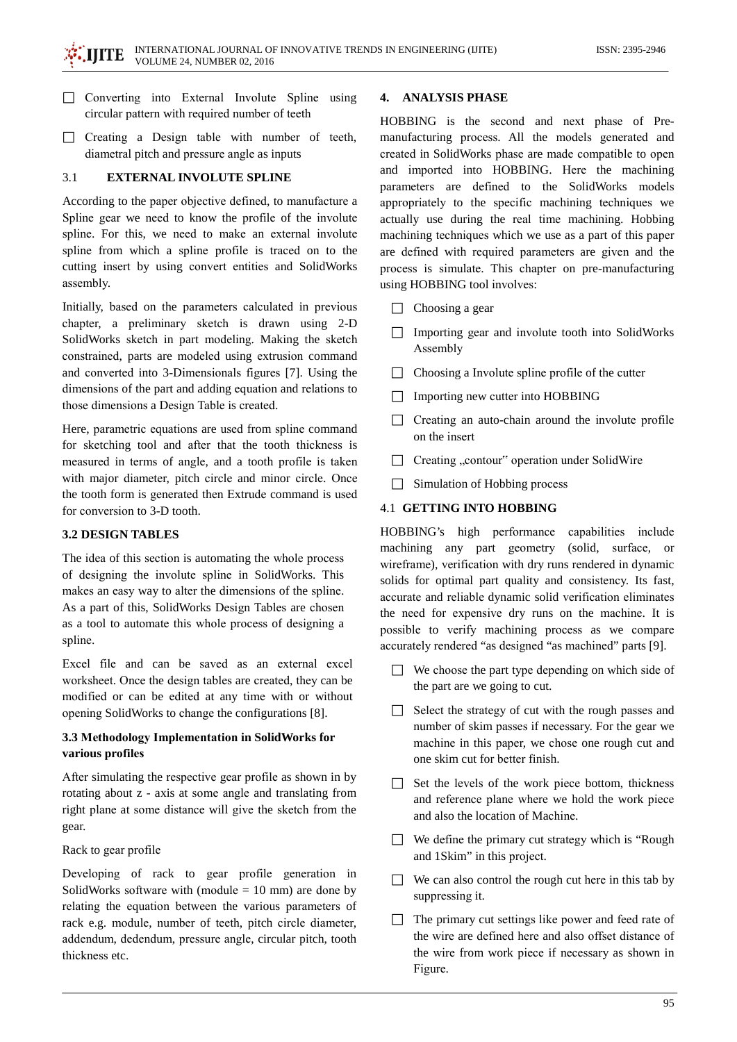- $\Box$  Converting into External Involute Spline using circular pattern with required number of teeth
- $\Box$  Creating a Design table with number of teeth, diametral pitch and pressure angle as inputs

#### **EXTERNAL INVOLUTE SPLINE**  $3.1$

According to the paper objective defined, to manufacture a Spline gear we need to know the profile of the involute spline. For this, we need to make an external involute spline from which a spline profile is traced on to the cutting insert by using convert entities and SolidWorks assembly.

Initially, based on the parameters calculated in previous chapter, a preliminary sketch is drawn using 2-D SolidWorks sketch in part modeling. Making the sketch constrained, parts are modeled using extrusion command and converted into 3-Dimensionals figures [7]. Using the dimensions of the part and adding equation and relations to those dimensions a Design Table is created.

Here, parametric equations are used from spline command for sketching tool and after that the tooth thickness is measured in terms of angle, and a tooth profile is taken with major diameter, pitch circle and minor circle. Once the tooth form is generated then Extrude command is used for conversion to 3-D tooth.

## **3.2 DESIGN TABLES**

The idea of this section is automating the whole process of designing the involute spline in SolidWorks. This makes an easy way to alter the dimensions of the spline. As a part of this, SolidWorks Design Tables are chosen as a tool to automate this whole process of designing a spline.

Excel file and can be saved as an external excel worksheet. Once the design tables are created, they can be modified or can be edited at any time with or without opening SolidWorks to change the configurations [8].

# 3.3 Methodology Implementation in SolidWorks for various profiles

After simulating the respective gear profile as shown in by rotating about z - axis at some angle and translating from right plane at some distance will give the sketch from the gear.

Rack to gear profile

Developing of rack to gear profile generation in SolidWorks software with (module  $= 10$  mm) are done by relating the equation between the various parameters of rack e.g. module, number of teeth, pitch circle diameter, addendum, dedendum, pressure angle, circular pitch, tooth thickness etc.

#### 4. ANALYSIS PHASE

HOBBING is the second and next phase of Premanufacturing process. All the models generated and created in SolidWorks phase are made compatible to open and imported into HOBBING. Here the machining parameters are defined to the SolidWorks models appropriately to the specific machining techniques we actually use during the real time machining. Hobbing machining techniques which we use as a part of this paper are defined with required parameters are given and the process is simulate. This chapter on pre-manufacturing using HOBBING tool involves:

- $\Box$  Choosing a gear
- $\Box$  Importing gear and involute tooth into SolidWorks Assembly
- $\Box$  Choosing a Involute spline profile of the cutter
- $\Box$  Importing new cutter into HOBBING
- $\Box$  Creating an auto-chain around the involute profile on the insert
- $\Box$  Creating "contour" operation under SolidWire
- $\Box$  Simulation of Hobbing process

# **4.1 GETTING INTO HOBBING**

HOBBING's high performance capabilities include machining any part geometry (solid, surface, or wireframe), verification with dry runs rendered in dynamic solids for optimal part quality and consistency. Its fast, accurate and reliable dynamic solid verification eliminates the need for expensive dry runs on the machine. It is possible to verify machining process as we compare accurately rendered "as designed "as machined" parts [9].

- $\Box$  We choose the part type depending on which side of the part are we going to cut.
- Select the strategy of cut with the rough passes and number of skim passes if necessary. For the gear we machine in this paper, we chose one rough cut and one skim cut for better finish.
- $\Box$  Set the levels of the work piece bottom, thickness and reference plane where we hold the work piece and also the location of Machine.
- $\Box$  We define the primary cut strategy which is "Rough" and 1Skim" in this project.
- $\Box$  We can also control the rough cut here in this tab by suppressing it.
- $\Box$  The primary cut settings like power and feed rate of the wire are defined here and also offset distance of the wire from work piece if necessary as shown in Figure.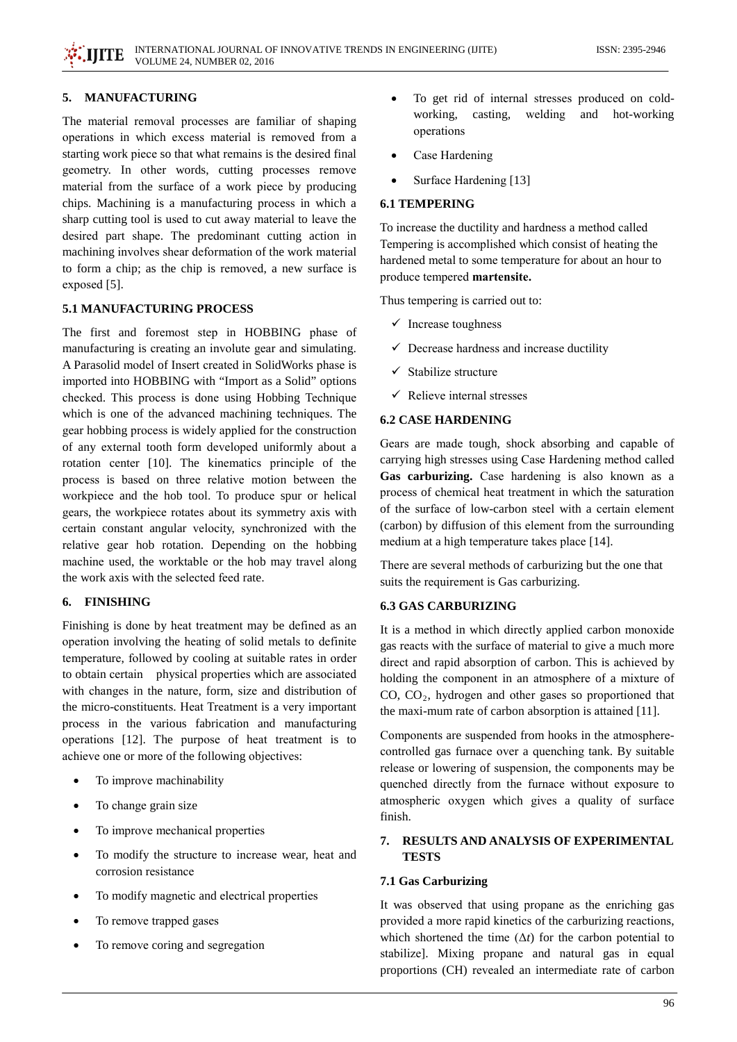#### 5. MANUFACTURING

The material removal processes are familiar of shaping operations in which excess material is removed from a starting work piece so that what remains is the desired final geometry. In other words, cutting processes remove material from the surface of a work piece by producing chips. Machining is a manufacturing process in which a sharp cutting tool is used to cut away material to leave the desired part shape. The predominant cutting action in machining involves shear deformation of the work material to form a chip; as the chip is removed, a new surface is exposed [5].

## **5.1 MANUFACTURING PROCESS**

The first and foremost step in HOBBING phase of manufacturing is creating an involute gear and simulating. A Parasolid model of Insert created in SolidWorks phase is imported into HOBBING with "Import as a Solid" options checked. This process is done using Hobbing Technique which is one of the advanced machining techniques. The gear hobbing process is widely applied for the construction of any external tooth form developed uniformly about a rotation center [10]. The kinematics principle of the process is based on three relative motion between the workpiece and the hob tool. To produce spur or helical gears, the workpiece rotates about its symmetry axis with certain constant angular velocity, synchronized with the relative gear hob rotation. Depending on the hobbing machine used, the worktable or the hob may travel along the work axis with the selected feed rate.

# 6. FINISHING

Finishing is done by heat treatment may be defined as an operation involving the heating of solid metals to definite temperature, followed by cooling at suitable rates in order to obtain certain physical properties which are associated with changes in the nature, form, size and distribution of the micro-constituents. Heat Treatment is a very important process in the various fabrication and manufacturing operations [12]. The purpose of heat treatment is to achieve one or more of the following objectives:

- To improve machinability  $\bullet$
- To change grain size  $\bullet$
- $\bullet$ To improve mechanical properties
- To modify the structure to increase wear, heat and  $\bullet$ corrosion resistance
- To modify magnetic and electrical properties  $\bullet$
- To remove trapped gases  $\bullet$
- To remove coring and segregation
- To get rid of internal stresses produced on coldworking. welding and hot-working casting, operations
- Case Hardening
- Surface Hardening [13]

#### **6.1 TEMPERING**

To increase the ductility and hardness a method called Tempering is accomplished which consist of heating the hardened metal to some temperature for about an hour to produce tempered martensite.

Thus tempering is carried out to:

- $\checkmark$  Increase toughness
- $\checkmark$  Decrease hardness and increase ductility
- $\checkmark$  Stabilize structure
- $\checkmark$  Relieve internal stresses

#### **6.2 CASE HARDENING**

Gears are made tough, shock absorbing and capable of carrying high stresses using Case Hardening method called Gas carburizing. Case hardening is also known as a process of chemical heat treatment in which the saturation of the surface of low-carbon steel with a certain element (carbon) by diffusion of this element from the surrounding medium at a high temperature takes place [14].

There are several methods of carburizing but the one that suits the requirement is Gas carburizing.

# **6.3 GAS CARBURIZING**

It is a method in which directly applied carbon monoxide gas reacts with the surface of material to give a much more direct and rapid absorption of carbon. This is achieved by holding the component in an atmosphere of a mixture of  $CO$ ,  $CO<sub>2</sub>$ , hydrogen and other gases so proportioned that the maxi-mum rate of carbon absorption is attained [11].

Components are suspended from hooks in the atmospherecontrolled gas furnace over a quenching tank. By suitable release or lowering of suspension, the components may be quenched directly from the furnace without exposure to atmospheric oxygen which gives a quality of surface finish.

#### **RESULTS AND ANALYSIS OF EXPERIMENTAL** 7. **TESTS**

#### 7.1 Gas Carburizing

It was observed that using propane as the enriching gas provided a more rapid kinetics of the carburizing reactions, which shortened the time  $(\Delta t)$  for the carbon potential to stabilize]. Mixing propane and natural gas in equal proportions (CH) revealed an intermediate rate of carbon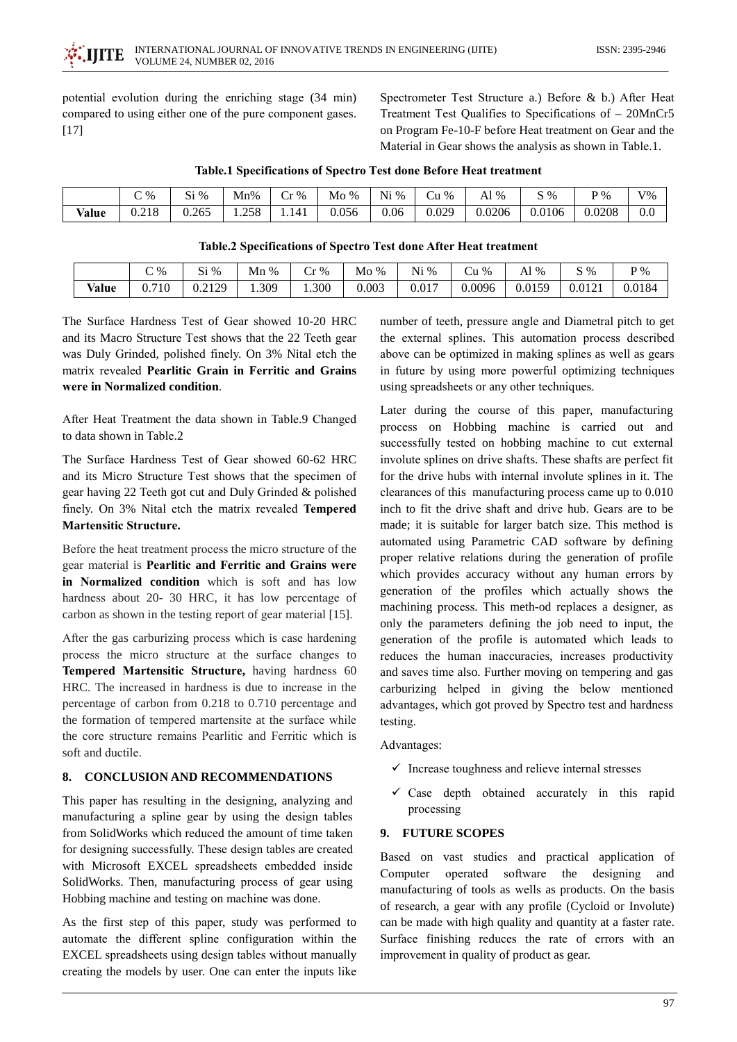potential evolution during the enriching stage (34 min) compared to using either one of the pure component gases.  $[17]$ 

Spectrometer Test Structure a.) Before & b.) After Heat Treatment Test Qualifies to Specifications of - 20MnCr5 on Program Fe-10-F before Heat treatment on Gear and the Material in Gear shows the analysis as shown in Table.1.

|       | $\degree$ % | $Si\%$ | Mn%   | $\sim$<br>$\cdot$ %<br>۰.<br>U | Mo<br>$\%$ | $Ni\%$ | ∼<br>$\%$<br>∪u | $1\%$<br>AI | $S\%$  | $\mathbf{p} \mathbf{\%}$ | $V\%$ |
|-------|-------------|--------|-------|--------------------------------|------------|--------|-----------------|-------------|--------|--------------------------|-------|
| Value | 0.218       | 0.265  | 1.258 | 1.141                          | 0.056      | 0.06   | 0.029           | 0.0206      | 0.0106 | 0.0208                   | 0.0   |

|  |  | <b>Table.1 Specifications of Spectro Test done Before Heat treatment</b> |  |
|--|--|--------------------------------------------------------------------------|--|

## Table.2 Specifications of Spectro Test done After Heat treatment

|       | $\degree$ %           | $\Im i\%$<br>ບ⊥ | Mn %  | ~<br>$r\%$<br>u | Mo<br>$\%$ | $\mathfrak{r}_1 \mathfrak{g}_0$<br>Ni | $\%$<br>Čũ | $\%$<br>Al | $\gamma$ %<br>ມ | $\mathbf{p} \mathbf{\%}$ |
|-------|-----------------------|-----------------|-------|-----------------|------------|---------------------------------------|------------|------------|-----------------|--------------------------|
| Value | .710<br>$\sim$<br>U., | 0.2129          | 1.309 | 1.300           | 0.003      | 0.017                                 | 0.0096     | 0.0159     | 0.0121          | 0.0184                   |

The Surface Hardness Test of Gear showed 10-20 HRC and its Macro Structure Test shows that the 22 Teeth gear was Duly Grinded, polished finely. On 3% Nital etch the matrix revealed Pearlitic Grain in Ferritic and Grains were in Normalized condition.

After Heat Treatment the data shown in Table.9 Changed to data shown in Table.2

The Surface Hardness Test of Gear showed 60-62 HRC and its Micro Structure Test shows that the specimen of gear having 22 Teeth got cut and Duly Grinded & polished finely. On 3% Nital etch the matrix revealed Tempered **Martensitic Structure.** 

Before the heat treatment process the micro structure of the gear material is Pearlitic and Ferritic and Grains were in Normalized condition which is soft and has low hardness about 20- 30 HRC, it has low percentage of carbon as shown in the testing report of gear material [15].

After the gas carburizing process which is case hardening process the micro structure at the surface changes to Tempered Martensitic Structure, having hardness 60 HRC. The increased in hardness is due to increase in the percentage of carbon from 0.218 to 0.710 percentage and the formation of tempered martensite at the surface while the core structure remains Pearlitic and Ferritic which is soft and ductile.

#### **CONCLUSION AND RECOMMENDATIONS** 8.

This paper has resulting in the designing, analyzing and manufacturing a spline gear by using the design tables from SolidWorks which reduced the amount of time taken for designing successfully. These design tables are created with Microsoft EXCEL spreadsheets embedded inside SolidWorks. Then, manufacturing process of gear using Hobbing machine and testing on machine was done.

As the first step of this paper, study was performed to automate the different spline configuration within the EXCEL spreadsheets using design tables without manually creating the models by user. One can enter the inputs like number of teeth, pressure angle and Diametral pitch to get the external splines. This automation process described above can be optimized in making splines as well as gears in future by using more powerful optimizing techniques using spreadsheets or any other techniques.

Later during the course of this paper, manufacturing process on Hobbing machine is carried out and successfully tested on hobbing machine to cut external involute splines on drive shafts. These shafts are perfect fit for the drive hubs with internal involute splines in it. The clearances of this manufacturing process came up to 0.010 inch to fit the drive shaft and drive hub. Gears are to be made; it is suitable for larger batch size. This method is automated using Parametric CAD software by defining proper relative relations during the generation of profile which provides accuracy without any human errors by generation of the profiles which actually shows the machining process. This meth-od replaces a designer, as only the parameters defining the job need to input, the generation of the profile is automated which leads to reduces the human inaccuracies, increases productivity and saves time also. Further moving on tempering and gas carburizing helped in giving the below mentioned advantages, which got proved by Spectro test and hardness testing.

Advantages:

- $\checkmark$  Increase toughness and relieve internal stresses
- $\checkmark$  Case depth obtained accurately in this rapid processing

# 9. FUTURE SCOPES

Based on vast studies and practical application of Computer operated software the designing and manufacturing of tools as wells as products. On the basis of research, a gear with any profile (Cycloid or Involute) can be made with high quality and quantity at a faster rate. Surface finishing reduces the rate of errors with an improvement in quality of product as gear.